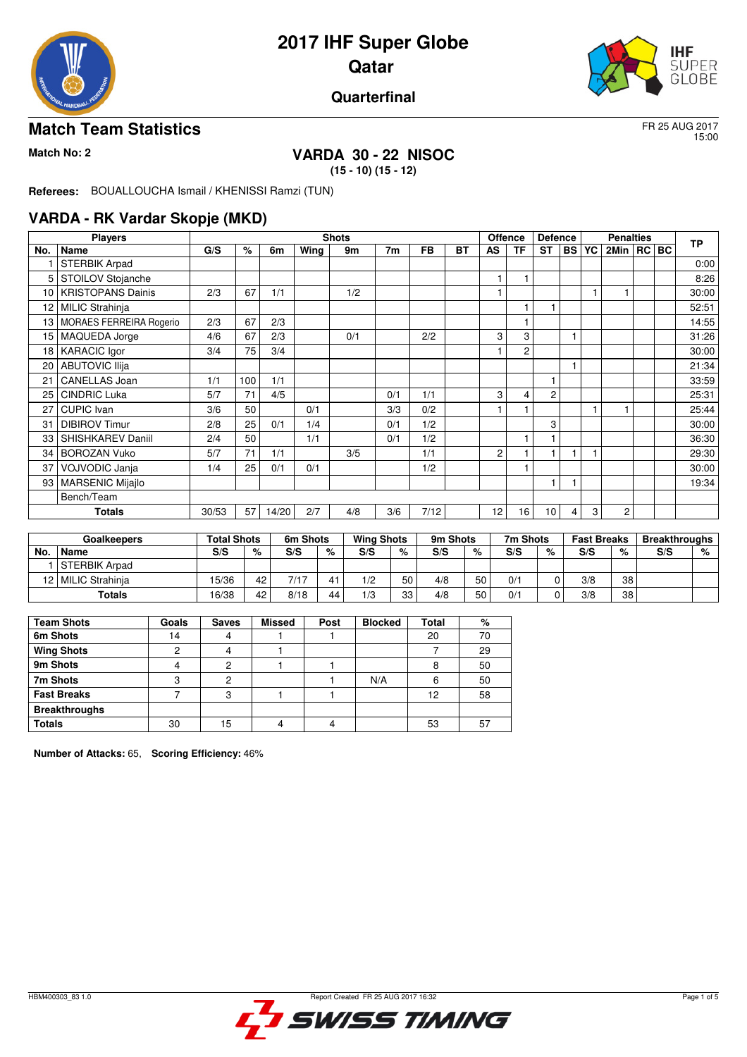



## **Quarterfinal**

## **Match Team Statistics** FR 25 AUG 2017

15:00

# **Match No: 2 VARDA 30 - 22 NISOC**

**(15 - 10) (15 - 12)**

**Referees:** BOUALLOUCHA Ismail / KHENISSI Ramzi (TUN)

## **VARDA - RK Vardar Skopje (MKD)**

|                 | <b>Players</b>           |       |      |       |      | <b>Shots</b> |     |           |           |    | <b>Offence</b> | <b>Defence</b> |           |           | <b>Penalties</b> |  | <b>TP</b> |
|-----------------|--------------------------|-------|------|-------|------|--------------|-----|-----------|-----------|----|----------------|----------------|-----------|-----------|------------------|--|-----------|
| No.             | <b>Name</b>              | G/S   | $\%$ | 6m    | Wing | 9m           | 7m  | <b>FB</b> | <b>BT</b> | AS | <b>TF</b>      | <b>ST</b>      | <b>BS</b> | <b>YC</b> | 2Min   RC   BC   |  |           |
|                 | <b>STERBIK Arpad</b>     |       |      |       |      |              |     |           |           |    |                |                |           |           |                  |  | 0:00      |
| 5               | STOILOV Stojanche        |       |      |       |      |              |     |           |           |    |                |                |           |           |                  |  | 8:26      |
| 10              | <b>KRISTOPANS Dainis</b> | 2/3   | 67   | 1/1   |      | 1/2          |     |           |           |    |                |                |           |           |                  |  | 30:00     |
| 12              | <b>MILIC Strahinja</b>   |       |      |       |      |              |     |           |           |    |                |                |           |           |                  |  | 52:51     |
| 13              | MORAES FERREIRA Rogerio  | 2/3   | 67   | 2/3   |      |              |     |           |           |    |                |                |           |           |                  |  | 14:55     |
| 15              | MAQUEDA Jorge            | 4/6   | 67   | 2/3   |      | 0/1          |     | 2/2       |           | 3  | 3              |                |           |           |                  |  | 31:26     |
| 18 <sup>1</sup> | <b>KARACIC Igor</b>      | 3/4   | 75   | 3/4   |      |              |     |           |           |    | $\overline{2}$ |                |           |           |                  |  | 30:00     |
| 20              | <b>ABUTOVIC Ilija</b>    |       |      |       |      |              |     |           |           |    |                |                |           |           |                  |  | 21:34     |
| 21              | <b>CANELLAS Joan</b>     | 1/1   | 100  | 1/1   |      |              |     |           |           |    |                |                |           |           |                  |  | 33:59     |
| 25              | <b>CINDRIC Luka</b>      | 5/7   | 71   | 4/5   |      |              | 0/1 | 1/1       |           | 3  | 4              | $\overline{2}$ |           |           |                  |  | 25:31     |
| 27              | <b>CUPIC Ivan</b>        | 3/6   | 50   |       | 0/1  |              | 3/3 | 0/2       |           |    |                |                |           |           |                  |  | 25:44     |
| 31              | <b>DIBIROV Timur</b>     | 2/8   | 25   | 0/1   | 1/4  |              | 0/1 | 1/2       |           |    |                | 3              |           |           |                  |  | 30:00     |
| 33              | SHISHKAREV Daniil        | 2/4   | 50   |       | 1/1  |              | 0/1 | 1/2       |           |    |                |                |           |           |                  |  | 36:30     |
| 34              | <b>BOROZAN Vuko</b>      | 5/7   | 71   | 1/1   |      | 3/5          |     | 1/1       |           | 2  |                |                |           |           |                  |  | 29:30     |
| 37              | VOJVODIC Janja           | 1/4   | 25   | 0/1   | 0/1  |              |     | 1/2       |           |    |                |                |           |           |                  |  | 30:00     |
| 93              | <b>MARSENIC Mijajlo</b>  |       |      |       |      |              |     |           |           |    |                |                |           |           |                  |  | 19:34     |
|                 | Bench/Team               |       |      |       |      |              |     |           |           |    |                |                |           |           |                  |  |           |
|                 | <b>Totals</b>            | 30/53 | 57   | 14/20 | 2/7  | 4/8          | 3/6 | 7/12      |           | 12 | 16             | 10             | 4         | 3         | 2                |  |           |

|     | <b>Goalkeepers</b>   | <b>Total Shots</b> |    | 6m Shots |    | <b>Wing Shots</b> |    | 9m Shots |    | 7m Shots |              | <b>Fast Breaks</b> |                 | <b>Breakthroughs</b> |   |
|-----|----------------------|--------------------|----|----------|----|-------------------|----|----------|----|----------|--------------|--------------------|-----------------|----------------------|---|
| No. | ' Name               | S/S                | %  | S/S      | %  | S/S               | %  | S/S      | %  | S/S      | %            | S/S                | %               | S/S                  | % |
|     | <b>STERBIK Arpad</b> |                    |    |          |    |                   |    |          |    |          |              |                    |                 |                      |   |
|     | 12   MILIC Strahinja | 15/36              | 42 | 7/17     |    | 1/2               | 50 | 4/8      | 50 | 0/1      |              | 3/8                | 38              |                      |   |
|     | <b>Totals</b>        | 16/38              | 42 | 8/18     | 44 | 1/3               | 33 | 4/8      | 50 | 0/1      | <sup>n</sup> | 3/8                | 38 <sup>1</sup> |                      |   |

| <b>Team Shots</b>    | Goals | <b>Saves</b> | <b>Missed</b> | Post | <b>Blocked</b> | Total | ℅  |
|----------------------|-------|--------------|---------------|------|----------------|-------|----|
| 6m Shots             | 14    |              |               |      |                | 20    | 70 |
| <b>Wing Shots</b>    | ◠     |              |               |      |                |       | 29 |
| 9m Shots             |       | 2            |               |      |                | 8     | 50 |
| 7m Shots             | c     | റ            |               |      | N/A            | 6     | 50 |
| <b>Fast Breaks</b>   |       | 3            |               |      |                | 12    | 58 |
| <b>Breakthroughs</b> |       |              |               |      |                |       |    |
| <b>Totals</b>        | 30    | ۱5           |               | 4    |                | 53    | 57 |

**Number of Attacks:** 65, **Scoring Efficiency:** 46%

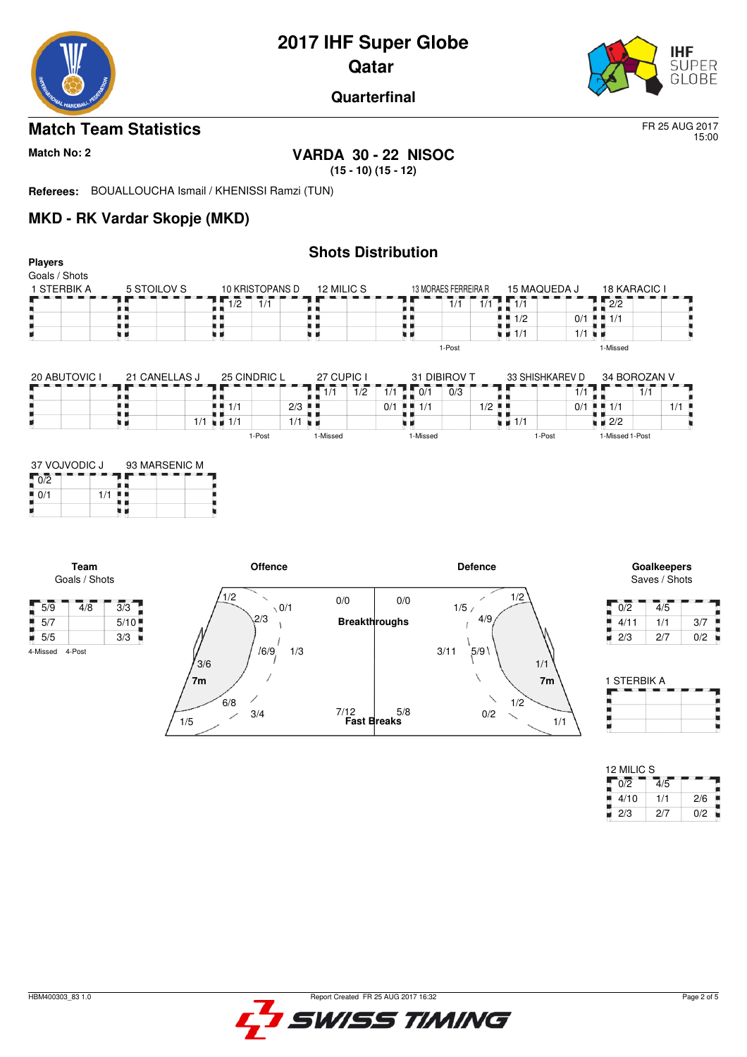

**Quarterfinal**

## **Match Team Statistics** FR 25 AUG 2017

15:00

# **Match No: 2 VARDA 30 - 22 NISOC**

**(15 - 10) (15 - 12)**

**Referees:** BOUALLOUCHA Ismail / KHENISSI Ramzi (TUN)

## **MKD - RK Vardar Skopje (MKD)**

| <b>Players</b>                                                    |                                   |                                   |                                                |                                    | <b>Shots Distribution</b>                 |                                                                         |                                     |                      |                                         |                              |     |
|-------------------------------------------------------------------|-----------------------------------|-----------------------------------|------------------------------------------------|------------------------------------|-------------------------------------------|-------------------------------------------------------------------------|-------------------------------------|----------------------|-----------------------------------------|------------------------------|-----|
| Goals / Shots<br>1 STERBIK A                                      | 5 STOILOV S                       | $\overline{1/2}$                  | 10 KRISTOPANS D<br>$\overline{1}/\overline{1}$ | 12 MILIC S                         | . .                                       | 13 MORAES FERREIRA R<br>$\overline{1}/\overline{1}$<br>$\overline{1/1}$ | 15 MAQUEDA J<br>$\sqrt{1/1}$        |                      | <b>18 KARACIC I</b><br>$\overline{2/2}$ |                              |     |
|                                                                   | . .<br>. .                        | . .                               |                                                | . .                                | . .                                       |                                                                         | $\blacksquare$ $\blacksquare$ $1/2$ |                      | $0/1$ $\blacksquare$ $1/1$              |                              |     |
|                                                                   | . .<br>. .                        | . .                               |                                                | u 11                               | ם כ<br>W 19                               |                                                                         | $\blacksquare$ $\blacksquare$ 1/1   | $1/1$ $\blacksquare$ |                                         |                              |     |
|                                                                   |                                   |                                   |                                                |                                    |                                           | 1-Post                                                                  |                                     |                      | 1-Missed                                |                              |     |
| 20 ABUTOVIC I                                                     | 21 CANELLAS J                     | 25 CINDRIC L                      |                                                | 27 CUPIC I                         |                                           | 31 DIBIROV T                                                            | 33 SHISHKAREV D                     |                      | 34 BOROZAN V                            |                              |     |
|                                                                   |                                   |                                   |                                                | 1/1<br>$\overline{1}/\overline{2}$ | $1/1$ $1/0/1$                             | 0/3                                                                     |                                     | 1/1                  |                                         | $\overline{1}/\overline{1}$  |     |
|                                                                   | <br>u 1                           | $\blacksquare$ $\blacksquare$ 1/1 | $2/3$ $\blacksquare$                           |                                    | $0/1$ $\blacksquare$ $\blacksquare$ $1/1$ |                                                                         | $1/2$ .                             | 0/1                  | $+ + 1/1$                               | 1/1                          |     |
|                                                                   | . .                               | $1/1 = 1/1$                       | $1/1$ $\blacksquare$                           |                                    | нα                                        |                                                                         | $\frac{1}{2}$ $\frac{1}{1}$         |                      | $\bullet$ $\bullet$ 2/2                 |                              |     |
|                                                                   |                                   |                                   | 1-Post                                         | 1-Missed                           | 1-Missed                                  |                                                                         | 1-Post                              |                      | 1-Missed 1-Post                         |                              |     |
| $1/1$                                                             | 93 MARSENIC M<br>6 E<br>. .<br>., |                                   |                                                |                                    |                                           |                                                                         |                                     |                      |                                         |                              |     |
| 37 VOJVODIC J<br>$\sqrt{0/2}$                                     |                                   |                                   |                                                |                                    |                                           |                                                                         |                                     |                      |                                         |                              |     |
| Team<br>Goals / Shots                                             |                                   |                                   | <b>Offence</b>                                 |                                    |                                           | <b>Defence</b>                                                          |                                     |                      |                                         | Goalkeepers<br>Saves / Shots |     |
| 4/8                                                               |                                   | 1/2                               | $\checkmark$<br>$\sqrt{0/1}$                   | 0/0                                | 0/0                                       | 1/5/                                                                    | 1/2                                 |                      | $\overline{0/2}$                        | 4/5                          |     |
|                                                                   | 3/3<br>5/10                       |                                   | 2/3                                            | <b>Breakthroughs</b>               |                                           | 4/9                                                                     |                                     |                      | 4/11                                    | 1/1                          | 3/7 |
| 0/1<br>$\overline{5/9}$<br>$\blacksquare$ 5/7<br>$\overline{5/5}$ | 3/3                               |                                   |                                                |                                    |                                           |                                                                         |                                     |                      | 2/3                                     | 2/7                          | 0/2 |



| 12 MILIC S |     |     |
|------------|-----|-----|
| 0/2        | 4/5 |     |
| 4/10       | 1/1 | 2/6 |
| 2/3        | 2/7 | 0/2 |

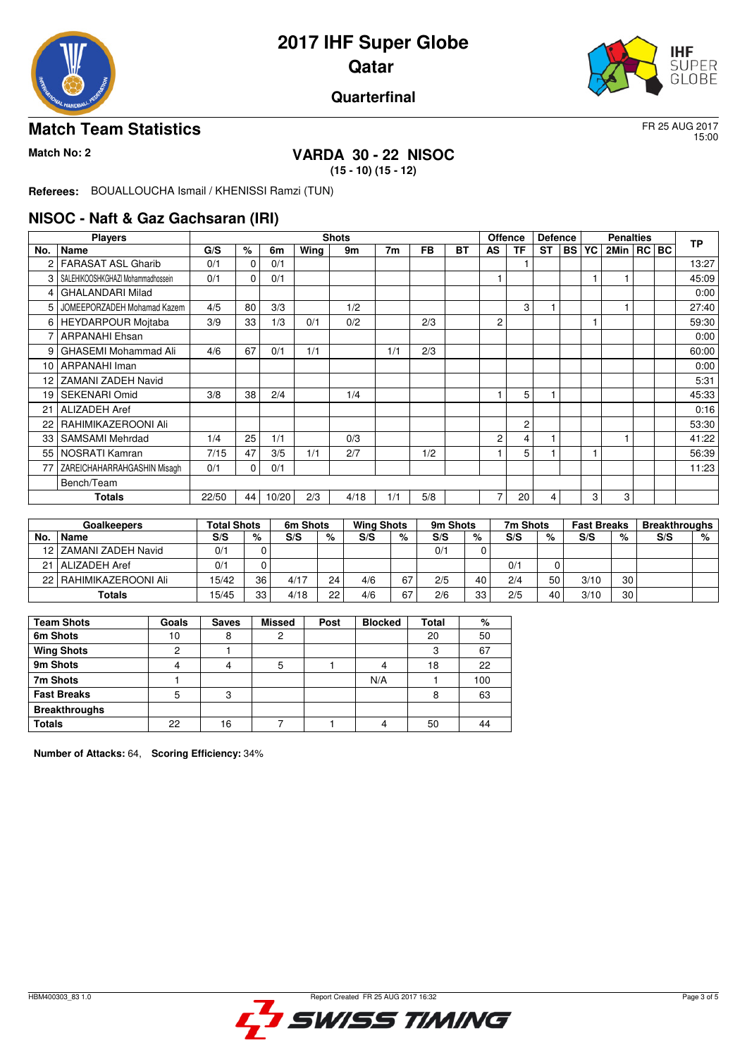



## **Quarterfinal**

## **Match Team Statistics** FR 25 AUG 2017

15:00

# **Match No: 2 VARDA 30 - 22 NISOC**

**(15 - 10) (15 - 12)**

**Referees:** BOUALLOUCHA Ismail / KHENISSI Ramzi (TUN)

#### **NISOC - Naft & Gaz Gachsaran (IRI)**

|     | <b>Players</b>                    |       |    |       |      | <b>Shots</b> |     |           |    |           | <b>Offence</b> | <b>Defence</b> |           |    | <b>Penalties</b> |  | <b>TP</b> |
|-----|-----------------------------------|-------|----|-------|------|--------------|-----|-----------|----|-----------|----------------|----------------|-----------|----|------------------|--|-----------|
| No. | <b>Name</b>                       | G/S   | %  | 6m    | Wing | 9m           | 7m  | <b>FB</b> | BT | <b>AS</b> | <b>TF</b>      | <b>ST</b>      | <b>BS</b> | YC | 2Min   RC   BC   |  |           |
| 2   | <b>FARASAT ASL Gharib</b>         | 0/1   | 0  | 0/1   |      |              |     |           |    |           |                |                |           |    |                  |  | 13:27     |
| 3   | SALEHIKOOSHKGHAZI Mohammadhossein | 0/1   | 0  | 0/1   |      |              |     |           |    |           |                |                |           |    |                  |  | 45:09     |
| 4   | <b>GHALANDARI Milad</b>           |       |    |       |      |              |     |           |    |           |                |                |           |    |                  |  | 0:00      |
| 5   | JOMEEPORZADEH Mohamad Kazem       | 4/5   | 80 | 3/3   |      | 1/2          |     |           |    |           | 3              |                |           |    |                  |  | 27:40     |
| 6   | <b>HEYDARPOUR Mojtaba</b>         | 3/9   | 33 | 1/3   | 0/1  | 0/2          |     | 2/3       |    | 2         |                |                |           |    |                  |  | 59:30     |
| 7   | <b>ARPANAHI Ehsan</b>             |       |    |       |      |              |     |           |    |           |                |                |           |    |                  |  | 0:00      |
| 9   | GHASEMI Mohammad Ali              | 4/6   | 67 | 0/1   | 1/1  |              | 1/1 | 2/3       |    |           |                |                |           |    |                  |  | 60:00     |
| 10  | ARPANAHI Iman                     |       |    |       |      |              |     |           |    |           |                |                |           |    |                  |  | 0:00      |
| 12  | <b>ZAMANI ZADEH Navid</b>         |       |    |       |      |              |     |           |    |           |                |                |           |    |                  |  | 5:31      |
| 19  | SEKENARI Omid                     | 3/8   | 38 | 2/4   |      | 1/4          |     |           |    |           | 5              |                |           |    |                  |  | 45:33     |
| 21  | <b>ALIZADEH Aref</b>              |       |    |       |      |              |     |           |    |           |                |                |           |    |                  |  | 0:16      |
| 22  | RAHIMIKAZEROONI Ali               |       |    |       |      |              |     |           |    |           | $\overline{c}$ |                |           |    |                  |  | 53:30     |
| 33  | <b>SAMSAMI</b> Mehrdad            | 1/4   | 25 | 1/1   |      | 0/3          |     |           |    | 2         | 4              |                |           |    |                  |  | 41:22     |
| 55  | NOSRATI Kamran                    | 7/15  | 47 | 3/5   | 1/1  | 2/7          |     | 1/2       |    |           | 5              |                |           |    |                  |  | 56:39     |
| 77  | ZAREICHAHARRAHGASHIN Misagh       | 0/1   | 0  | 0/1   |      |              |     |           |    |           |                |                |           |    |                  |  | 11:23     |
|     | Bench/Team                        |       |    |       |      |              |     |           |    |           |                |                |           |    |                  |  |           |
|     | Totals                            | 22/50 | 44 | 10/20 | 2/3  | 4/18         | 1/1 | 5/8       |    | 7         | 20             | 4              |           | 3  | 3                |  |           |

|     | Goalkeepers              | <b>Total Shots</b> |    | 6m Shots |    | <b>Wing Shots</b> |    | 9m Shots |    | 7m Shots |    | <b>Fast Breaks</b> |    | <b>Breakthroughs</b> |   |
|-----|--------------------------|--------------------|----|----------|----|-------------------|----|----------|----|----------|----|--------------------|----|----------------------|---|
| No. | Name                     | S/S                | %  | S/S      | %  | S/S               | %  | S/S      | %  | S/S      | %  | S/S                | %  | S/S                  | % |
|     | 12   ZAMANI ZADEH Navid  | 0'                 |    |          |    |                   |    | 0/1      |    |          |    |                    |    |                      |   |
|     | 21   ALIZADEH Aref       | 0/1                |    |          |    |                   |    |          |    | 0/1      |    |                    |    |                      |   |
|     | 22   RAHIMIKAZEROONI Ali | 15/42              | 36 | 4/17     | 24 | 4/6               | 67 | 2/5      | 40 | 2/4      | 50 | 3/10               | 30 |                      |   |
|     | Totals                   | 15/45              | 33 | 4/18     | 22 | 4/6               | 67 | 2/6      | 33 | 2/5      | 40 | 3/10               | 30 |                      |   |

| <b>Team Shots</b>    | Goals | <b>Saves</b> | <b>Missed</b> | Post | <b>Blocked</b> | Total | %   |
|----------------------|-------|--------------|---------------|------|----------------|-------|-----|
| 6m Shots             | 10    | 8            | ◠             |      |                | 20    | 50  |
| <b>Wing Shots</b>    | ◠     |              |               |      |                | 3     | 67  |
| 9m Shots             |       |              |               |      |                | 18    | 22  |
| 7m Shots             |       |              |               |      | N/A            |       | 100 |
| <b>Fast Breaks</b>   | 5     | 3            |               |      |                | 8     | 63  |
| <b>Breakthroughs</b> |       |              |               |      |                |       |     |
| <b>Totals</b>        | 22    | 16           |               |      |                | 50    | 44  |

**Number of Attacks:** 64, **Scoring Efficiency:** 34%

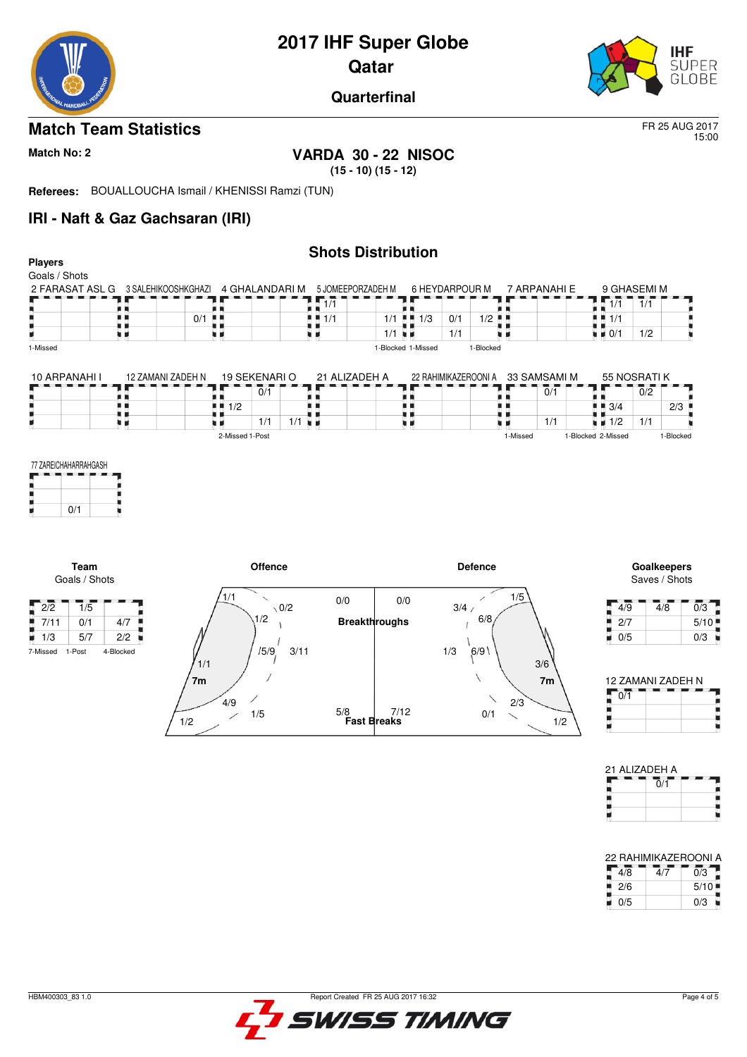



**Quarterfinal**

## **Match Team Statistics** FR 25 AUG 2017

15:00

# **Match No: 2 VARDA 30 - 22 NISOC**

**(15 - 10) (15 - 12)**

**Referees:** BOUALLOUCHA Ismail / KHENISSI Ramzi (TUN)

## **IRI - Naft & Gaz Gachsaran (IRI)**

| <b>Players</b><br>Goals / Shots             |                   |                              |                             |                      |                   | <b>Shots Distribution</b>        |                      |                |          |                             |                                                                           |                  |                                     |
|---------------------------------------------|-------------------|------------------------------|-----------------------------|----------------------|-------------------|----------------------------------|----------------------|----------------|----------|-----------------------------|---------------------------------------------------------------------------|------------------|-------------------------------------|
| 2 FARASAT ASL G 3 SALEHIKOOSHKGHAZI         |                   |                              | 4 GHALANDARI M              |                      | 5 JOMEEPORZADEH M |                                  | 6 HEYDARPOUR M       |                |          | 7 ARPANAHI E                | 9 GHASEMI M                                                               |                  |                                     |
|                                             |                   |                              |                             |                      | 1/1               |                                  |                      |                |          |                             | <b>A T</b>                                                                | 1/1              |                                     |
|                                             | . .               | $0/1$                        |                             |                      | $+ 1/1$           | $\blacksquare$ 1/3<br>1/1        | 0/1                  | 1/2            |          |                             | $\blacksquare$ $\blacksquare$ $\blacksquare$ $\uparrow$ $\uparrow$<br>. . |                  |                                     |
| 1-Missed                                    | . .               |                              |                             |                      | ш                 | 1/1<br>見 見<br>1-Blocked 1-Missed | 1/1                  | 1-Blocked      |          |                             | $\blacksquare$ $\blacksquare$ 0/1                                         | 1/2              |                                     |
|                                             |                   |                              |                             |                      |                   |                                  |                      |                |          |                             |                                                                           |                  |                                     |
| 10 ARPANAHI I                               | 12 ZAMANI ZADEH N |                              | 19 SEKENARIO                |                      | 21 ALIZADEH A     |                                  | 22 RAHIMIKAZEROONI A |                |          | 33 SAMSAMI M                | 55 NOSRATIK                                                               |                  |                                     |
|                                             |                   |                              | $\overline{0}/\overline{1}$ |                      |                   |                                  |                      |                |          | $\overline{0}/\overline{1}$ |                                                                           | $\overline{0}/2$ |                                     |
|                                             | . .               | . .                          | 1/2                         |                      |                   | <br>. .                          |                      | ٠              |          |                             | $\blacksquare$ $\blacksquare$ 3/4                                         |                  | 2/3                                 |
|                                             | 8 H               |                              | 1/1                         | $1/1$ $\blacksquare$ |                   | xи                               |                      |                |          | 1/1                         | $\blacksquare$ $\blacksquare$ 1/2                                         | 1/1              |                                     |
|                                             |                   |                              | 2-Missed 1-Post             |                      |                   |                                  |                      |                | 1-Missed |                             | 1-Blocked 2-Missed                                                        |                  | 1-Blocked                           |
| 0/1<br>Team<br>Goals / Shots                |                   |                              | Offence                     |                      |                   |                                  |                      | <b>Defence</b> |          |                             |                                                                           |                  | <b>Goalkeepers</b><br>Saves / Shots |
|                                             |                   | 1/1                          | $\checkmark$                |                      |                   |                                  |                      |                | 1/5      |                             |                                                                           |                  |                                     |
| $\sqrt{2/2}$<br>$\overline{1}/\overline{5}$ |                   |                              |                             | $\setminus 0/2$      | 0/0               | 0/0                              | 3/4/                 |                |          |                             | 4/9                                                                       |                  | $\overline{0/3}$<br>4/8             |
| ۰<br>7/11<br>0/1                            | 4/7               |                              | 1/2                         |                      |                   | <b>Breakthroughs</b>             |                      | 6/8            |          |                             | 2/7                                                                       |                  | 5/10                                |
| $\blacksquare$ 1/3<br>5/7                   | 2/2               |                              |                             |                      |                   |                                  |                      |                |          |                             | 0/5<br>W.                                                                 |                  | 0/3                                 |
| 1-Post<br>7-Missed                          | 4-Blocked         | 1/1<br>7 <sub>m</sub><br>4/9 | 15/9,                       | 3/11                 |                   |                                  | 1/3                  | 6/9            | 2/3      | 3/6<br>7 <sub>m</sub>       | 0/1                                                                       |                  | 12 ZAMANI ZADEH N                   |
|                                             |                   | 1/2                          | 1/5                         |                      | 5/8               | 7/12<br><b>Fast Breaks</b>       |                      | 0/1            |          | 1/2                         |                                                                           |                  |                                     |



 $\frac{1}{2}$ <br> $\frac{1}{2}$ <br> $\frac{1}{2}$ 

j.

п

H

21 ALIZADEH A  $0/1$ 

Ę ٠

Н

š,

22 RAHIMIKAZEROONI A<br> $\frac{4}{8}$   $\frac{4}{8}$   $\frac{4}{7}$   $\frac{6}{3}$ <br> $\frac{1}{2}$  2/6  $\frac{5}{10}$  $4/7$ 

 $\frac{276}{0/5}$  0/3